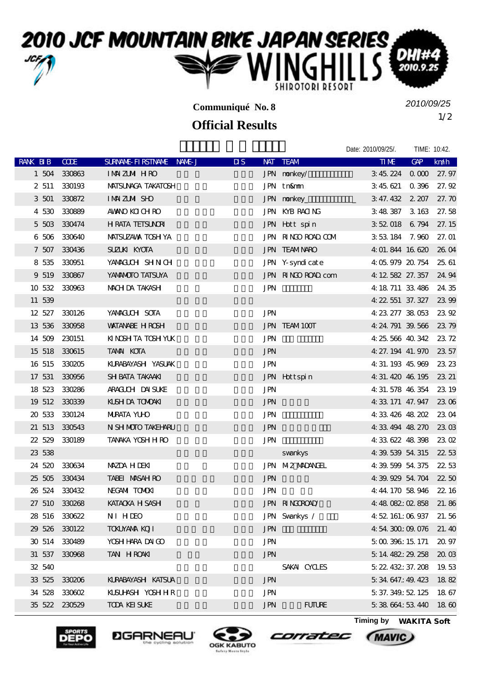## 2010 JCF MOUNTAIN BIKE JAPAN SERIES DH 2010.9 SHIROTORI RESORT

**Communiqué No. 8**

## **Official Results**

1/2 *2010/09/25*

|               |               |                           |                           |                      | Date: 2010/09/25/.     |     | TIME: 10:42.        |
|---------------|---------------|---------------------------|---------------------------|----------------------|------------------------|-----|---------------------|
| RANK BIB      | <b>COE</b>    | SURNAME FIRSTNAME NAME J  | $\overline{\mathbf{u}}$ s | NAT TEAM             | <b>TIME</b>            | GAP | km/h                |
|               | 1 504 330863  | IMMZM HRO                 |                           | JPN nonkey/          | 345224000              |     | 27.97               |
|               | 2 511 330193  | <b>MATSUNACA TAKATOSH</b> |                           | JPN tn&mm            | 3 45 621 0 396         |     | 27.92               |
|               | 3 501 330872  | <b>IMAZIM SHO</b>         |                           | JPN nonkey_          | 3 47.432 2 207         |     | 27.70               |
|               | 4 530 330889  | AWANO KOLOH RO            |                           | JPN KYB RACING       | 3 48 387 3 163         |     | 27.58               |
|               | 5 503 330474  | <b>H RATA TEISUNRI</b>    |                           | JPN Hott spin        | 3 52 018 6 794         |     | 27.15               |
|               | 6 506 330640  | MATSUZAVA TOSH YA         |                           | JPN RINGO ROAD COM   | 3 53 184 7.960         |     | 27.01               |
|               | 7 507 330436  | <b>SUZLKI KYOTA</b>       |                           | <b>JPN TEAMNARO</b>  | 4:01.844 16:620        |     | 26 OA               |
| 8 535         | 330951        | YAMAGUCH SHNCH            |                           | JPN Y-syndicate      | 4 05 979 20 754        |     | 25, 61              |
|               | 9 519 330867  | YANANDIO TATSUYA          |                           | JPN RINGO ROAD com   | 4: 12, 582, 27, 357    |     | 24.94               |
|               | 10 532 330963 | MACH DA TAKASH            | <b>JPN</b>                |                      | 4: 18. 711 33. 486     |     | 24.35               |
| 11 539        |               |                           |                           |                      | 4: 22, 551 37, 327     |     | 23.99               |
|               | 12 527 330126 | YAMACUH SOTA              | <b>JPN</b>                |                      | 4 23 277 38 053        |     | 23.92               |
| 13 536 330958 |               | <b>WATANABE H ROSH</b>    |                           | JPN TEAM100T         | 4: 24. 791 39. 566     |     | 2375                |
| 14 509 230151 |               | KINGSH TA TOSH YUK        | <b>JPN</b>                |                      | 4 25 566 40 342        |     | 23.72               |
| 15 518 330615 |               | <b>TAMAI KOTA</b>         | <b>JPN</b>                |                      | 4 27, 194 41, 970      |     | 23.57               |
| 16 515 330205 |               | KLRABAYASH YASUAK         | <b>JPN</b>                |                      | 4 31 193 45 969        |     | 23 23               |
| 17 531        | 330956        | <b>SH BATA TAKAAKI</b>    |                           | JPN Hottspin         | 4: 31, 420 46, 195     |     | 23 21               |
| 18 523 330286 |               | ARACILLEH DAISLIKE        | $\text{JPN}$              |                      | 4: 31, 578 46, 354     |     | 23 19               |
| 19 512 330339 |               | KUSH DA TOMOAKI           | <b>JPN</b>                |                      | 4 33 171 47.947        |     | <b>230</b>          |
| 20 533 330124 |               | <b>MIRATA YUID</b>        | <b>JPN</b>                |                      | 4 33 426 48 202        |     | <b>2304</b>         |
| 21 513 330543 |               | N SH MOTO TAKEHARU        | <b>JPN</b>                |                      | 4 33 494 48 270        |     | $23 \text{ }\alpha$ |
|               | 22 529 330189 | TANAKA YOSH H RO          | <b>JPN</b>                |                      | 4 33 622 48 398        |     | 230                 |
| 23 538        |               |                           |                           | svankys              | 4 39 539 54 315        |     | 22.53               |
| 24 520        | 330634        | <b>MAZDA HIDEKI</b>       |                           | JPN M2 MADANGEL      | 4 39 599 54 375        |     | 22.53               |
| 25 505 330434 |               | <b>TABEI MASAH RO</b>     | <b>JPN</b>                |                      | 4 39 929 54 704 22 50  |     |                     |
| 26 524 330432 |               | NEGAMI TOMOKI             | <b>JPN</b>                |                      | 4:44:170 58.946        |     | 22.16               |
| 27 510 330268 |               | KATACKA H SASH            |                           | <b>JPN RINGOROAD</b> | 4:48.082:02.858        |     | 21.86               |
|               | 28 516 330622 | NI HDEO                   |                           | JPN Svankys /        | 4 52 161:06 937        |     | 21.56               |
| 29 526 330122 |               | <b>TOXUYANA KOJI</b>      | <b>JPN</b>                |                      | 4 54 300:09 076        |     | 21.40               |
| 30 514 330489 |               | YOSH HARA DAI GO          | <b>JPN</b>                |                      | $5 \Omega$ 396: 15 171 |     | 20.97               |
| 31 537 330968 |               | TAN HROAKI                | <b>JPN</b>                |                      | 5 14 482: 29 258       |     | 200                 |
| 32 540        |               |                           |                           | SAKAI CYCLES         | 5 22 432: 37. 208      |     | 19.53               |
| 33 525 330206 |               | KURABAYASH KATSUA         | <b>JPN</b>                |                      | 5 34 647: 49, 423      |     | 1882                |
| 34 528 330602 |               | KLSU-ASH YOSHHR           | <b>JPN</b>                |                      | 5 37.349:52.125        |     | 1867                |
| 35 522 230529 |               | <b>TODA KEI SUKE</b>      | <b>JPN</b>                | <b>FUTURE</b>        | 5 38 664: 53 440       |     | 18 <sub>6</sub>     |







corratec



(MAVIC)